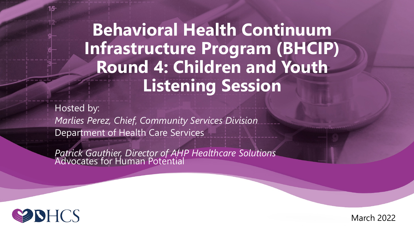**Behavioral Health Continuum Infrastructure Program (BHCIP) Round 4: Children and Youth Listening Session**

Hosted by: *Marlies Perez, Chief*, *Community Services Division* Department of Health Care Services

Patrick Gauthier, Director of AHP Healthcare Solutions<sup>1</sup><br>Advocates for Human Potential



March 2022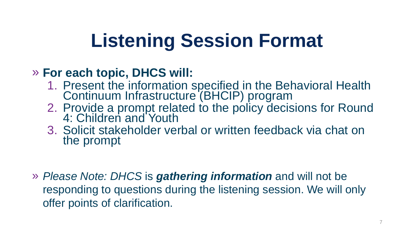# **Listening Session Format**

#### » **For each topic, DHCS will:**

- 1. Present the information specified in the Behavioral Health Continuum Infrastructure (BHCIP) program
- 2. Provide a prompt related to the policy decisions for Round 4: Children and Youth
- 3. Solicit stakeholder verbal or written feedback via chat on the prompt
- » *Please Note: DHCS* is *gathering information* and will not be responding to questions during the listening session. We will only offer points of clarification.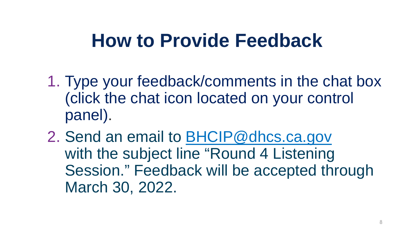#### **How to Provide Feedback**

- 1. Type your feedback/comments in the chat box (click the chat icon located on your control panel).
- 2. Send an email to [BHCIP@dhcs.ca.gov](mailto:BHCIP@dhcs.ca.gov) with the subject line "Round 4 Listening" Session." Feedback will be accepted through March 30, 2022.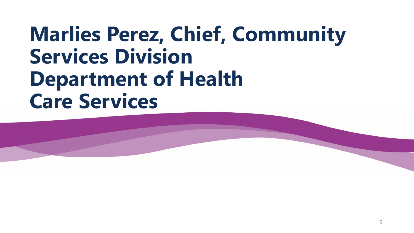## **Marlies Perez, Chief, Community Services Division Department of Health Care Services**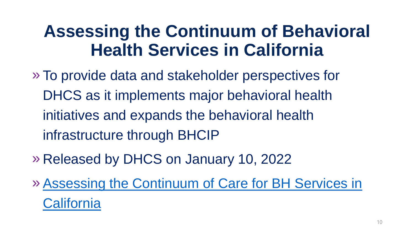#### **Assessing the Continuum of Behavioral Health Services in California**

- » To provide data and stakeholder perspectives for DHCS as it implements major behavioral health initiatives and expands the behavioral health infrastructure through BHCIP
- » Released by DHCS on January 10, 2022
- »[Assessing the Continuum of Care for BH Services in](https://www.dhcs.ca.gov/Documents/Assessing-the-Continuum-of-Care-for-BH-Services-in-California.pdf)  **California**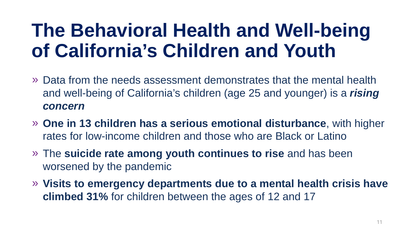## **The Behavioral Health and Well-being of California's Children and Youth**

- » Data from the needs assessment demonstrates that the mental health and well-being of California's children (age 25 and younger) is a *rising concern*
- » **One in 13 children has a serious emotional disturbance**, with higher rates for low-income children and those who are Black or Latino
- » The **suicide rate among youth continues to rise** and has been worsened by the pandemic
- » **Visits to emergency departments due to a mental health crisis have climbed 31%** for children between the ages of 12 and 17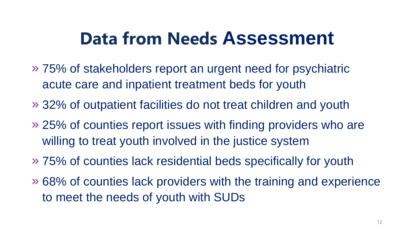#### **Data from Needs Assessment**

- » 75% of stakeholders report an urgent need for psychiatric acute care and inpatient treatment beds for youth
- » 32% of outpatient facilities do not treat children and youth
- » 25% of counties report issues with finding providers who are willing to treat youth involved in the justice system
- » 75% of counties lack residential beds specifically for youth
- » 68% of counties lack providers with the training and experience to meet the needs of youth with SUDs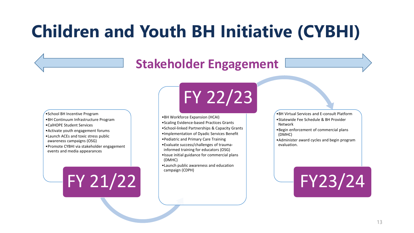#### **Children and Youth BH Initiative (CYBHI)**

#### **Stakeholder Engagement**

- •School BH Incentive Program
- •BH Continuum Infrastructure Program
- •CalHOPE Student Services
- •Activate youth engagement forums
- •Launch ACEs and toxic stress public awareness campaigns (OSG)
- •Promote CYBHI via stakeholder engagement events and media appearances

FY 21/22

## FY 22/23

- •BH Workforce Expansion (HCAI)
- •Scaling Evidence-based Practices Grants
- •School-linked Partnerships & Capacity Grants
- •Implementation of Dyadic Services Benefit
- •Pediatric and Primary Care Training
- •Evaluate success/challenges of traumainformed training for educators (OSG)
- •Issue initial guidance for commercial plans (DMHC)
- •Launch public awareness and education campaign (CDPH)

•BH Virtual Services and E-consult Platform •Statewide Fee Schedule & BH Provider Network

•Begin enforcement of commercial plans (DMHC)

•Administer award cycles and begin program evaluation.

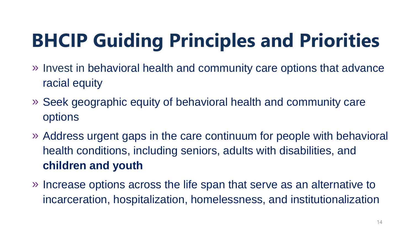# **BHCIP Guiding Principles and Priorities**

- » Invest in behavioral health and community care options that advance racial equity
- » Seek geographic equity of behavioral health and community care options
- » Address urgent gaps in the care continuum for people with behavioral health conditions, including seniors, adults with disabilities, and **children and youth**
- » Increase options across the life span that serve as an alternative to incarceration, hospitalization, homelessness, and institutionalization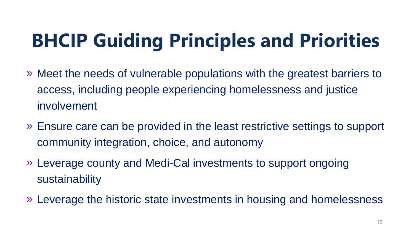# **BHCIP Guiding Principles and Priorities**

- » Meet the needs of vulnerable populations with the greatest barriers to access, including people experiencing homelessness and justice involvement
- » Ensure care can be provided in the least restrictive settings to support community integration, choice, and autonomy
- » Leverage county and Medi-Cal investments to support ongoing sustainability
- » Leverage the historic state investments in housing and homelessness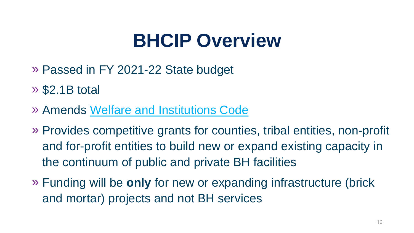## **BHCIP Overview**

- » Passed in FY 2021-22 State budget
- » \$2.1B total
- » Amends [Welfare and Institutions Code](https://leginfo.legislature.ca.gov/faces/codes_displayText.xhtml?lawCode=WIC&division=5.&title=&part=7.&chapter=1.&article=)
- » Provides competitive grants for counties, tribal entities, non-profit and for-profit entities to build new or expand existing capacity in the continuum of public and private BH facilities
- » Funding will be **only** for new or expanding infrastructure (brick and mortar) projects and not BH services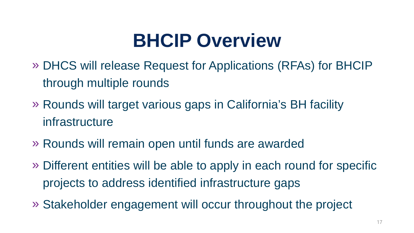## **BHCIP Overview**

- » DHCS will release Request for Applications (RFAs) for BHCIP through multiple rounds
- » Rounds will target various gaps in California's BH facility infrastructure
- » Rounds will remain open until funds are awarded
- » Different entities will be able to apply in each round for specific projects to address identified infrastructure gaps
- » Stakeholder engagement will occur throughout the project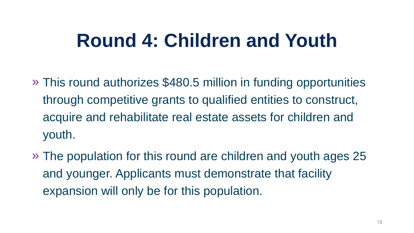## **Round 4: Children and Youth**

- » This round authorizes \$480.5 million in funding opportunities through competitive grants to qualified entities to construct, acquire and rehabilitate real estate assets for children and youth.
- » The population for this round are children and youth ages 25 and younger. Applicants must demonstrate that facility expansion will only be for this population.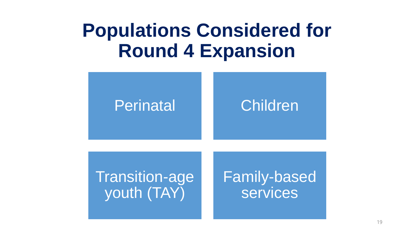#### **Populations Considered for Round 4 Expansion**

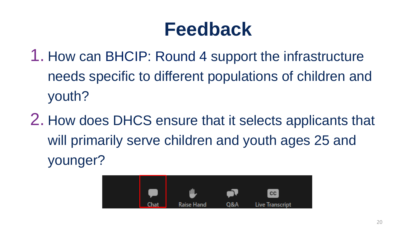- 1. How can BHCIP: Round 4 support the infrastructure needs specific to different populations of children and youth?
- 2. How does DHCS ensure that it selects applicants that will primarily serve children and youth ages 25 and younger?

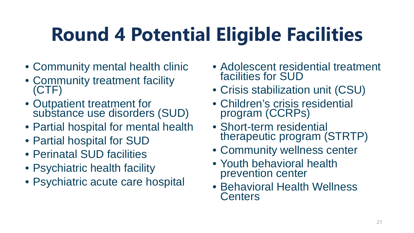# **Round 4 Potential Eligible Facilities**

- Community mental health clinic
- Community treatment facility (CTF)
- Outpatient treatment for substance use disorders (SUD)
- Partial hospital for mental health
- Partial hospital for SUD
- Perinatal SUD facilities
- Psychiatric health facility
- Psychiatric acute care hospital
- Adolescent residential treatment facilities for SUD
- Crisis stabilization unit (CSU)
- Children's crisis residential program (CCRPs)
- Short-term residential therapeutic program (STRTP)
- Community wellness center
- Youth behavioral health prevention center
- Behavioral Health Wellness **Centers**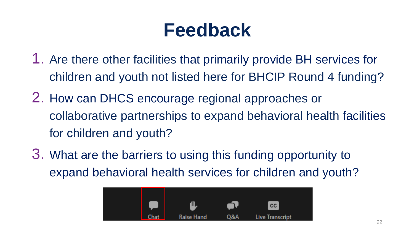- 1. Are there other facilities that primarily provide BH services for children and youth not listed here for BHCIP Round 4 funding?
- 2. How can DHCS encourage regional approaches or collaborative partnerships to expand behavioral health facilities for children and youth?
- 3. What are the barriers to using this funding opportunity to expand behavioral health services for children and youth?

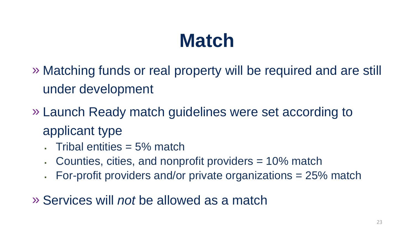## **Match**

- » Matching funds or real property will be required and are still under development
- » Launch Ready match guidelines were set according to applicant type
	- Tribal entities = 5% match
	- Counties, cities, and nonprofit providers = 10% match
	- For-profit providers and/or private organizations = 25% match

» Services will *not* be allowed as a match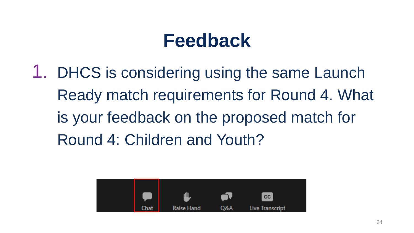1. DHCS is considering using the same Launch Ready match requirements for Round 4. What is your feedback on the proposed match for Round 4: Children and Youth?

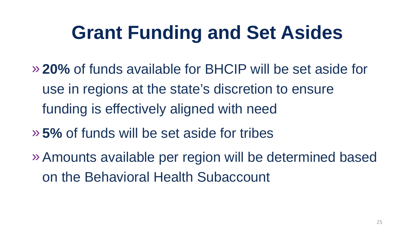## **Grant Funding and Set Asides**

- » **20%** of funds available for BHCIP will be set aside for use in regions at the state's discretion to ensure funding is effectively aligned with need
- » **5%** of funds will be set aside for tribes
- »Amounts available per region will be determined based on the Behavioral Health Subaccount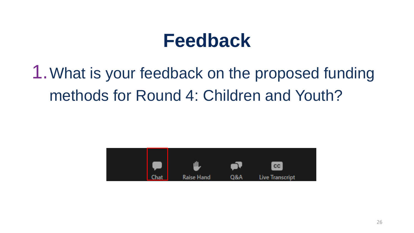1.What is your feedback on the proposed funding methods for Round 4: Children and Youth?

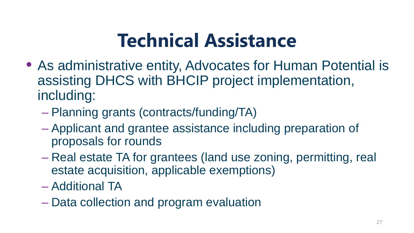## **Technical Assistance**

- As administrative entity, Advocates for Human Potential is assisting DHCS with BHCIP project implementation, including:
	- Planning grants (contracts/funding/TA)
	- Applicant and grantee assistance including preparation of proposals for rounds
	- Real estate TA for grantees (land use zoning, permitting, real estate acquisition, applicable exemptions)
	- Additional TA
	- Data collection and program evaluation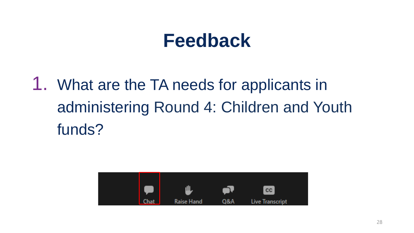1. What are the TA needs for applicants in administering Round 4: Children and Youth funds?